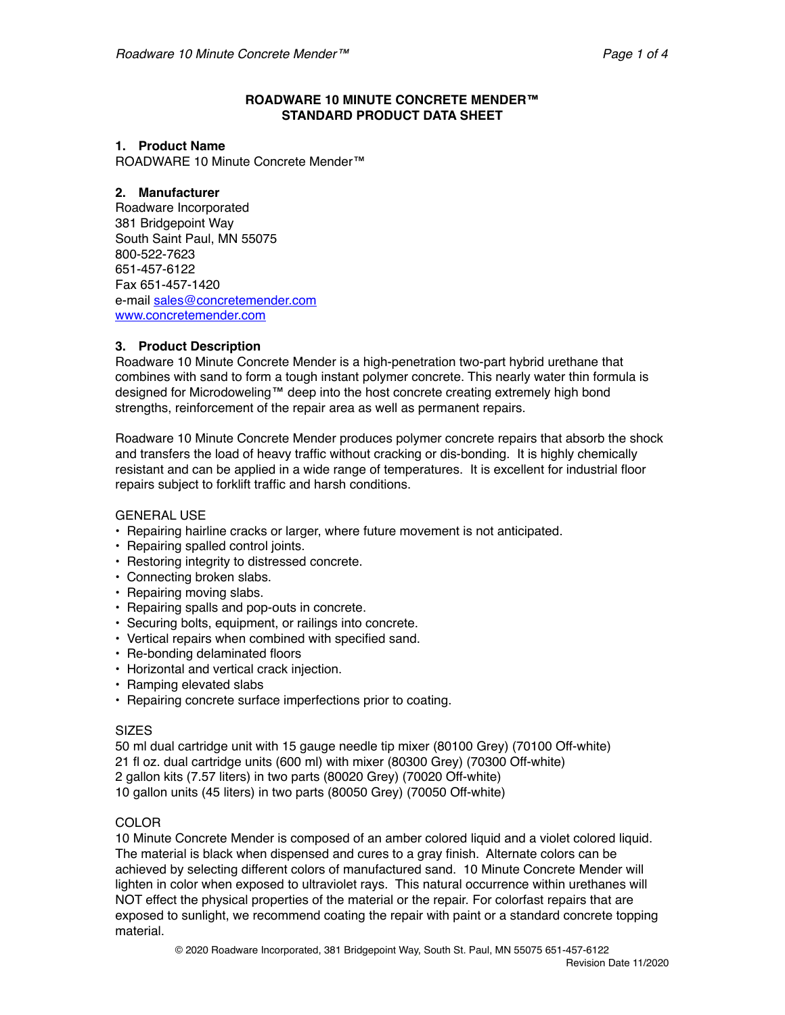### **ROADWARE 10 MINUTE CONCRETE MENDER™ STANDARD PRODUCT DATA SHEET**

#### **1. Product Name**

ROADWARE 10 Minute Concrete Mender™

### **2. Manufacturer**

Roadware Incorporated 381 Bridgepoint Way South Saint Paul, MN 55075 800-522-7623 651-457-6122 Fax 651-457-1420 e-mail [sales@concretemender.com](mailto:sales@concretemender.com) [www.concretemender.com](http://www.concretemender.com)

# **3. Product Description**

Roadware 10 Minute Concrete Mender is a high-penetration two-part hybrid urethane that combines with sand to form a tough instant polymer concrete. This nearly water thin formula is designed for Microdoweling™ deep into the host concrete creating extremely high bond strengths, reinforcement of the repair area as well as permanent repairs.

Roadware 10 Minute Concrete Mender produces polymer concrete repairs that absorb the shock and transfers the load of heavy traffic without cracking or dis-bonding. It is highly chemically resistant and can be applied in a wide range of temperatures. It is excellent for industrial floor repairs subject to forklift traffic and harsh conditions.

### GENERAL USE

- Repairing hairline cracks or larger, where future movement is not anticipated.
- Repairing spalled control joints.
- Restoring integrity to distressed concrete.
- Connecting broken slabs.
- Repairing moving slabs.
- Repairing spalls and pop-outs in concrete.
- Securing bolts, equipment, or railings into concrete.
- Vertical repairs when combined with specified sand.
- Re-bonding delaminated floors
- Horizontal and vertical crack injection.
- Ramping elevated slabs
- Repairing concrete surface imperfections prior to coating.

#### SIZES

50 ml dual cartridge unit with 15 gauge needle tip mixer (80100 Grey) (70100 Off-white) 21 fl oz. dual cartridge units (600 ml) with mixer (80300 Grey) (70300 Off-white) 2 gallon kits (7.57 liters) in two parts (80020 Grey) (70020 Off-white) 10 gallon units (45 liters) in two parts (80050 Grey) (70050 Off-white)

## COLOR

10 Minute Concrete Mender is composed of an amber colored liquid and a violet colored liquid. The material is black when dispensed and cures to a gray finish. Alternate colors can be achieved by selecting different colors of manufactured sand. 10 Minute Concrete Mender will lighten in color when exposed to ultraviolet rays. This natural occurrence within urethanes will NOT effect the physical properties of the material or the repair. For colorfast repairs that are exposed to sunlight, we recommend coating the repair with paint or a standard concrete topping material.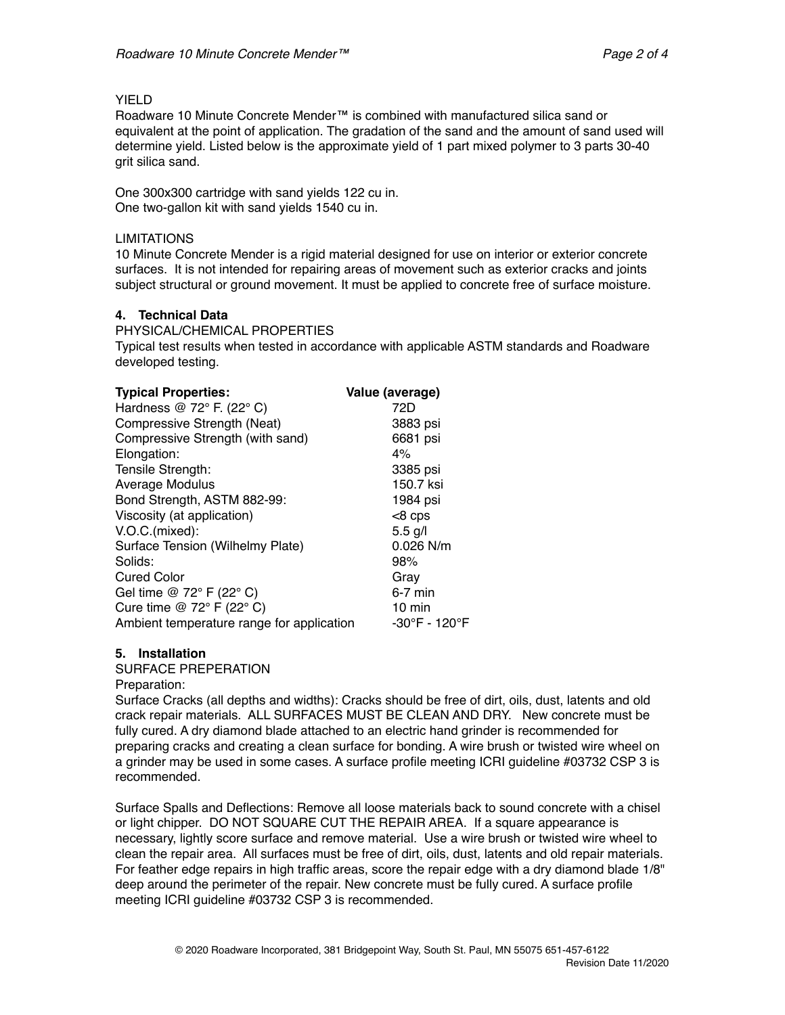## YIELD

Roadware 10 Minute Concrete Mender™ is combined with manufactured silica sand or equivalent at the point of application. The gradation of the sand and the amount of sand used will determine yield. Listed below is the approximate yield of 1 part mixed polymer to 3 parts 30-40 grit silica sand.

One 300x300 cartridge with sand yields 122 cu in. One two-gallon kit with sand yields 1540 cu in.

### **LIMITATIONS**

10 Minute Concrete Mender is a rigid material designed for use on interior or exterior concrete surfaces. It is not intended for repairing areas of movement such as exterior cracks and joints subject structural or ground movement. It must be applied to concrete free of surface moisture.

## **4. Technical Data**

PHYSICAL/CHEMICAL PROPERTIES

Typical test results when tested in accordance with applicable ASTM standards and Roadware developed testing.

| <b>Typical Properties:</b>                | Value (average)  |
|-------------------------------------------|------------------|
| Hardness @ 72° F. (22° C)                 | 72D              |
| Compressive Strength (Neat)               | 3883 psi         |
| Compressive Strength (with sand)          | 6681 psi         |
| Elongation:                               | 4%               |
| Tensile Strength:                         | 3385 psi         |
| Average Modulus                           | 150.7 ksi        |
| Bond Strength, ASTM 882-99:               | 1984 psi         |
| Viscosity (at application)                | $<8$ cps         |
| V.O.C.(mixed):                            | $5.5$ g/l        |
| Surface Tension (Wilhelmy Plate)          | 0.026 N/m        |
| Solids:                                   | 98%              |
| <b>Cured Color</b>                        | Gray             |
| Gel time @ 72° F (22° C)                  | $6-7$ min        |
| Cure time @ $72^{\circ}$ F (22° C)        | $10 \text{ min}$ |
| Ambient temperature range for application | -30°F - 120°F    |

## **5. Installation**

SURFACE PREPERATION

Preparation:

Surface Cracks (all depths and widths): Cracks should be free of dirt, oils, dust, latents and old crack repair materials. ALL SURFACES MUST BE CLEAN AND DRY. New concrete must be fully cured. A dry diamond blade attached to an electric hand grinder is recommended for preparing cracks and creating a clean surface for bonding. A wire brush or twisted wire wheel on a grinder may be used in some cases. A surface profile meeting ICRI guideline #03732 CSP 3 is recommended.

Surface Spalls and Deflections: Remove all loose materials back to sound concrete with a chisel or light chipper. DO NOT SQUARE CUT THE REPAIR AREA. If a square appearance is necessary, lightly score surface and remove material. Use a wire brush or twisted wire wheel to clean the repair area. All surfaces must be free of dirt, oils, dust, latents and old repair materials. For feather edge repairs in high traffic areas, score the repair edge with a dry diamond blade 1/8" deep around the perimeter of the repair. New concrete must be fully cured. A surface profile meeting ICRI guideline #03732 CSP 3 is recommended.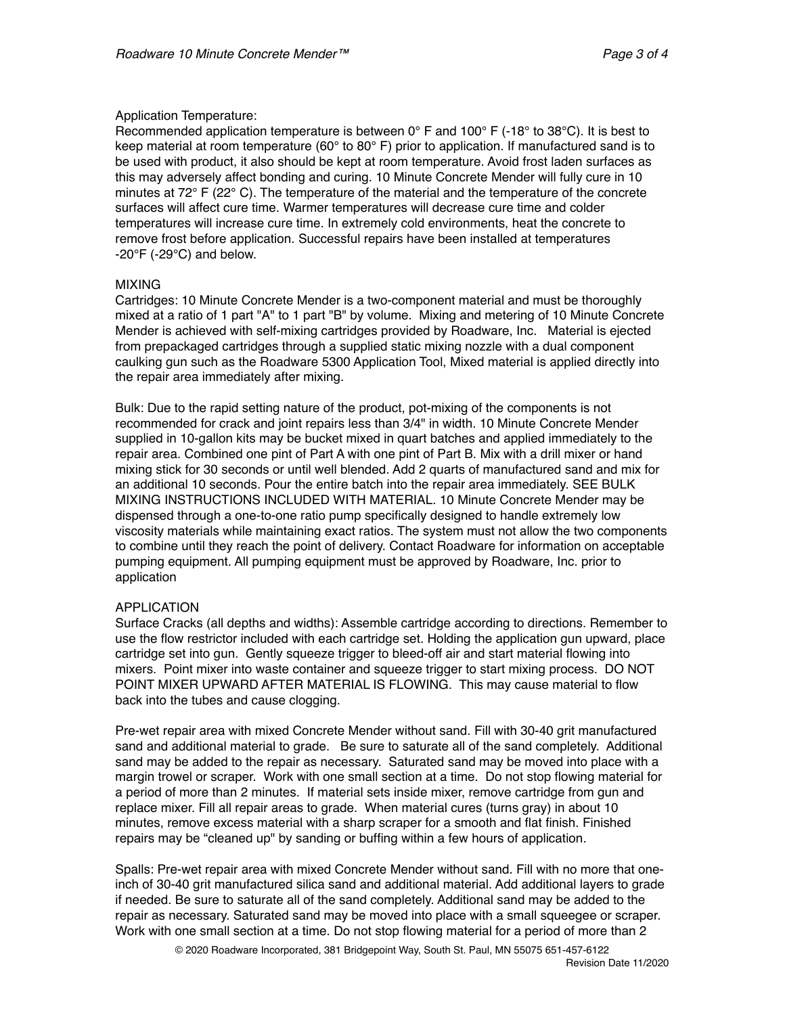### Application Temperature:

Recommended application temperature is between  $0^{\circ}$  F and  $100^{\circ}$  F (-18° to 38°C). It is best to keep material at room temperature (60 $^{\circ}$  to 80 $^{\circ}$  F) prior to application. If manufactured sand is to be used with product, it also should be kept at room temperature. Avoid frost laden surfaces as this may adversely affect bonding and curing. 10 Minute Concrete Mender will fully cure in 10 minutes at 72 $\degree$  F (22 $\degree$  C). The temperature of the material and the temperature of the concrete surfaces will affect cure time. Warmer temperatures will decrease cure time and colder temperatures will increase cure time. In extremely cold environments, heat the concrete to remove frost before application. Successful repairs have been installed at temperatures  $-20^{\circ}$ F (-29 $^{\circ}$ C) and below.

### MIXING

Cartridges: 10 Minute Concrete Mender is a two-component material and must be thoroughly mixed at a ratio of 1 part "A" to 1 part "B" by volume. Mixing and metering of 10 Minute Concrete Mender is achieved with self-mixing cartridges provided by Roadware, Inc. Material is ejected from prepackaged cartridges through a supplied static mixing nozzle with a dual component caulking gun such as the Roadware 5300 Application Tool, Mixed material is applied directly into the repair area immediately after mixing.

Bulk: Due to the rapid setting nature of the product, pot-mixing of the components is not recommended for crack and joint repairs less than 3/4" in width. 10 Minute Concrete Mender supplied in 10-gallon kits may be bucket mixed in quart batches and applied immediately to the repair area. Combined one pint of Part A with one pint of Part B. Mix with a drill mixer or hand mixing stick for 30 seconds or until well blended. Add 2 quarts of manufactured sand and mix for an additional 10 seconds. Pour the entire batch into the repair area immediately. SEE BULK MIXING INSTRUCTIONS INCLUDED WITH MATERIAL. 10 Minute Concrete Mender may be dispensed through a one-to-one ratio pump specifically designed to handle extremely low viscosity materials while maintaining exact ratios. The system must not allow the two components to combine until they reach the point of delivery. Contact Roadware for information on acceptable pumping equipment. All pumping equipment must be approved by Roadware, Inc. prior to application

## APPLICATION

Surface Cracks (all depths and widths): Assemble cartridge according to directions. Remember to use the flow restrictor included with each cartridge set. Holding the application gun upward, place cartridge set into gun. Gently squeeze trigger to bleed-off air and start material flowing into mixers. Point mixer into waste container and squeeze trigger to start mixing process. DO NOT POINT MIXER UPWARD AFTER MATERIAL IS FLOWING. This may cause material to flow back into the tubes and cause clogging.

Pre-wet repair area with mixed Concrete Mender without sand. Fill with 30-40 grit manufactured sand and additional material to grade. Be sure to saturate all of the sand completely. Additional sand may be added to the repair as necessary. Saturated sand may be moved into place with a margin trowel or scraper. Work with one small section at a time. Do not stop flowing material for a period of more than 2 minutes. If material sets inside mixer, remove cartridge from gun and replace mixer. Fill all repair areas to grade. When material cures (turns gray) in about 10 minutes, remove excess material with a sharp scraper for a smooth and flat finish. Finished repairs may be "cleaned up" by sanding or buffing within a few hours of application.

Spalls: Pre-wet repair area with mixed Concrete Mender without sand. Fill with no more that oneinch of 30-40 grit manufactured silica sand and additional material. Add additional layers to grade if needed. Be sure to saturate all of the sand completely. Additional sand may be added to the repair as necessary. Saturated sand may be moved into place with a small squeegee or scraper. Work with one small section at a time. Do not stop flowing material for a period of more than 2

© 2020 Roadware Incorporated, 381 Bridgepoint Way, South St. Paul, MN 55075 651-457-6122